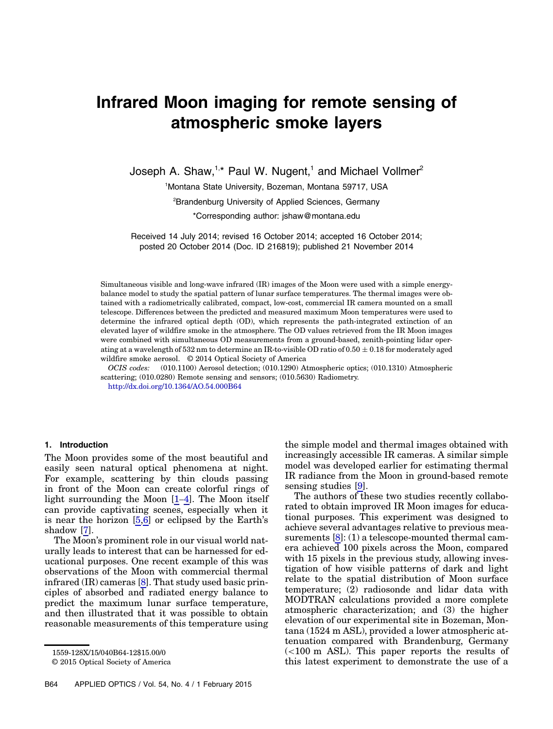# Infrared Moon imaging for remote sensing of atmospheric smoke layers

Joseph A. Shaw,<sup>1,\*</sup> Paul W. Nugent,<sup>1</sup> and Michael Vollmer<sup>2</sup>

1 Montana State University, Bozeman, Montana 59717, USA

2 Brandenburg University of Applied Sciences, Germany

\*Corresponding author: jshaw@montana.edu

Received 14 July 2014; revised 16 October 2014; accepted 16 October 2014; posted 20 October 2014 (Doc. ID 216819); published 21 November 2014

Simultaneous visible and long-wave infrared (IR) images of the Moon were used with a simple energybalance model to study the spatial pattern of lunar surface temperatures. The thermal images were obtained with a radiometrically calibrated, compact, low-cost, commercial IR camera mounted on a small telescope. Differences between the predicted and measured maximum Moon temperatures were used to determine the infrared optical depth (OD), which represents the path-integrated extinction of an elevated layer of wildfire smoke in the atmosphere. The OD values retrieved from the IR Moon images were combined with simultaneous OD measurements from a ground-based, zenith-pointing lidar operating at a wavelength of 532 nm to determine an IR-to-visible OD ratio of  $0.50 \pm 0.18$  for moderately aged wildfire smoke aerosol. © 2014 Optical Society of America

OCIS codes: (010.1100) Aerosol detection; (010.1290) Atmospheric optics; (010.1310) Atmospheric scattering; (010.0280) Remote sensing and sensors; (010.5630) Radiometry.

<http://dx.doi.org/10.1364/AO.54.000B64>

#### 1. Introduction

The Moon provides some of the most beautiful and easily seen natural optical phenomena at night. For example, scattering by thin clouds passing in front of the Moon can create colorful rings of light surrounding the Moon  $[1-4]$  $[1-4]$  $[1-4]$  $[1-4]$ . The Moon itself can provide captivating scenes, especially when it is near the horizon [[5](#page-9-2),[6](#page-10-0)] or eclipsed by the Earth'<sup>s</sup> shadow [\[7\]](#page-10-1).

The Moon's prominent role in our visual world naturally leads to interest that can be harnessed for educational purposes. One recent example of this was observations of the Moon with commercial thermal infrared (IR) cameras [\[8\]](#page-10-2). That study used basic principles of absorbed and radiated energy balance to predict the maximum lunar surface temperature, and then illustrated that it was possible to obtain reasonable measurements of this temperature using

© 2015 Optical Society of America

the simple model and thermal images obtained with increasingly accessible IR cameras. A similar simple model was developed earlier for estimating thermal IR radiance from the Moon in ground-based remote sensing studies [[9](#page-10-3)].

The authors of these two studies recently collaborated to obtain improved IR Moon images for educational purposes. This experiment was designed to achieve several advantages relative to previous measurements  $[8]$ : (1) a telescope-mounted thermal camera achieved 100 pixels across the Moon, compared with 15 pixels in the previous study, allowing investigation of how visible patterns of dark and light relate to the spatial distribution of Moon surface temperature;  $(2)$  radiosonde and lidar data with MODTRAN calculations provided a more complete atmospheric characterization; and (3) the higher elevation of our experimental site in Bozeman, Montana (1524 m ASL), provided a lower atmospheric attenuation compared with Brandenburg, Germany (<100 m ASL). This paper reports the results of this latest experiment to demonstrate the use of a

<sup>1559-128</sup>X/15/040B64-12\$15.00/0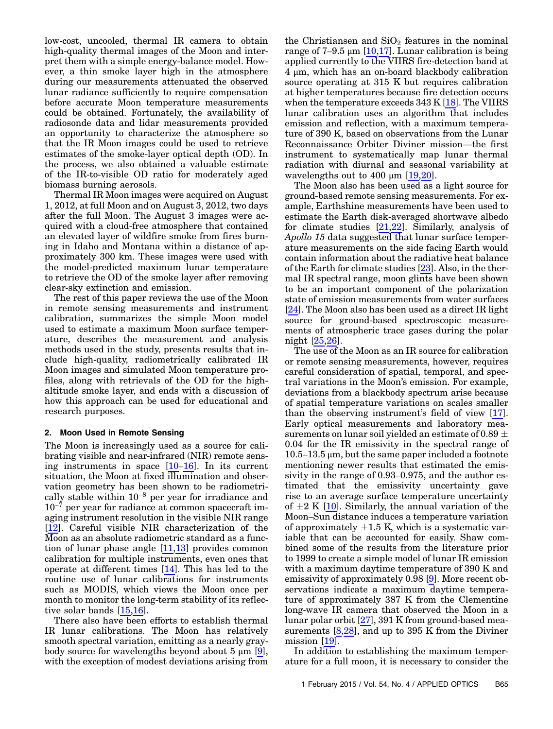low-cost, uncooled, thermal IR camera to obtain high-quality thermal images of the Moon and interpret them with a simple energy-balance model. However, a thin smoke layer high in the atmosphere during our measurements attenuated the observed lunar radiance sufficiently to require compensation before accurate Moon temperature measurements could be obtained. Fortunately, the availability of radiosonde data and lidar measurements provided an opportunity to characterize the atmosphere so that the IR Moon images could be used to retrieve estimates of the smoke-layer optical depth (OD). In the process, we also obtained a valuable estimate of the IR-to-visible OD ratio for moderately aged biomass burning aerosols.

Thermal IR Moon images were acquired on August 1, 2012, at full Moon and on August 3, 2012, two days after the full Moon. The August 3 images were acquired with a cloud-free atmosphere that contained an elevated layer of wildfire smoke from fires burning in Idaho and Montana within a distance of approximately 300 km. These images were used with the model-predicted maximum lunar temperature to retrieve the OD of the smoke layer after removing clear-sky extinction and emission.

The rest of this paper reviews the use of the Moon in remote sensing measurements and instrument calibration, summarizes the simple Moon model used to estimate a maximum Moon surface temperature, describes the measurement and analysis methods used in the study, presents results that include high-quality, radiometrically calibrated IR Moon images and simulated Moon temperature profiles, along with retrievals of the OD for the highaltitude smoke layer, and ends with a discussion of how this approach can be used for educational and research purposes.

#### <span id="page-1-0"></span>2. Moon Used in Remote Sensing

The Moon is increasingly used as a source for calibrating visible and near-infrared (NIR) remote sensing instruments in space [[10](#page-10-4)–[16](#page-10-5)]. In its current situation, the Moon at fixed illumination and observation geometry has been shown to be radiometrisituation, the Moon at fixed illumination and observation geometry has been shown to be radiometrically stable within 10<sup>−8</sup> per year for irradiance and vation geometry has been shown to be radiometrically stable within  $10^{-8}$  per year for irradiance and  $10^{-7}$  per year for radiance at common spacecraft imaging instrument resolution in the visible NIR range [\[12](#page-10-6)]. Careful visible NIR characterization of the Moon as an absolute radiometric standard as a function of lunar phase angle [[11,](#page-10-7)[13\]](#page-10-8) provides common calibration for multiple instruments, even ones that operate at different times [\[14\]](#page-10-9). This has led to the routine use of lunar calibrations for instruments such as MODIS, which views the Moon once per month to monitor the long-term stability of its reflective solar bands [\[15](#page-10-10),[16\]](#page-10-5).

There also have been efforts to establish thermal IR lunar calibrations. The Moon has relatively smooth spectral variation, emitting as a nearly graybody source for wavelengths beyond about  $5 \mu m$  [[9](#page-10-3)], with the exception of modest deviations arising from

the Christiansen and  $SiO<sub>2</sub>$  features in the nominal range of 7-9.5 μm [ $10,17$ ]. Lunar calibration is being applied currently to the VIIRS fire-detection band at 4 μm, which has an on-board blackbody calibration source operating at 315 K but requires calibration at higher temperatures because fire detection occurs when the temperature exceeds  $343$  K  $[18]$  $[18]$ . The VIIRS lunar calibration uses an algorithm that includes emission and reflection, with a maximum temperature of 390 K, based on observations from the Lunar Reconnaissance Orbiter Diviner mission—the first instrument to systematically map lunar thermal radiation with diurnal and seasonal variability at wavelengths out to 400  $\mu$ m [[19](#page-10-13)[,20](#page-10-14)].

The Moon also has been used as a light source for ground-based remote sensing measurements. For example, Earthshine measurements have been used to estimate the Earth disk-averaged shortwave albedo for climate studies [[21,](#page-10-15)[22\]](#page-10-16). Similarly, analysis of Apollo 15 data suggested that lunar surface temperature measurements on the side facing Earth would contain information about the radiative heat balance of the Earth for climate studies [[23\]](#page-10-17). Also, in the thermal IR spectral range, moon glints have been shown to be an important component of the polarization state of emission measurements from water surfaces [\[24](#page-10-18)]. The Moon also has been used as a direct IR light source for ground-based spectroscopic measurements of atmospheric trace gases during the polar night [\[25](#page-10-19),[26\]](#page-10-20).

The use of the Moon as an IR source for calibration or remote sensing measurements, however, requires careful consideration of spatial, temporal, and spectral variations in the Moon's emission. For example, deviations from a blackbody spectrum arise because of spatial temperature variations on scales smaller than the observing instrument's field of view [[17](#page-10-11)]. Early optical measurements and laboratory measurements on lunar soil yielded an estimate of  $0.89 \pm$ 0.04 for the IR emissivity in the spectral range of  $10.5-13.5 \,\mu m$ , but the same paper included a footnote mentioning newer results that estimated the emissivity in the range of 0.93–0.975, and the author estimated that the emissivity uncertainty gave rise to an average surface temperature uncertainty of  $\pm 2$  K [\[10](#page-10-4)]. Similarly, the annual variation of the Moon–Sun distance induces a temperature variation of approximately  $\pm 1.5$  K, which is a systematic variable that can be accounted for easily. Shaw combined some of the results from the literature prior to 1999 to create a simple model of lunar IR emission with a maximum daytime temperature of 390 K and emissivity of approximately 0.98 [[9](#page-10-3)]. More recent observations indicate a maximum daytime temperature of approximately 387 K from the Clementine long-wave IR camera that observed the Moon in a lunar polar orbit [[27](#page-10-21)], 391 K from ground-based measurements  $[8,28]$  $[8,28]$  $[8,28]$  $[8,28]$ , and up to 395 K from the Diviner mission [\[19](#page-10-13)].

In addition to establishing the maximum temperature for a full moon, it is necessary to consider the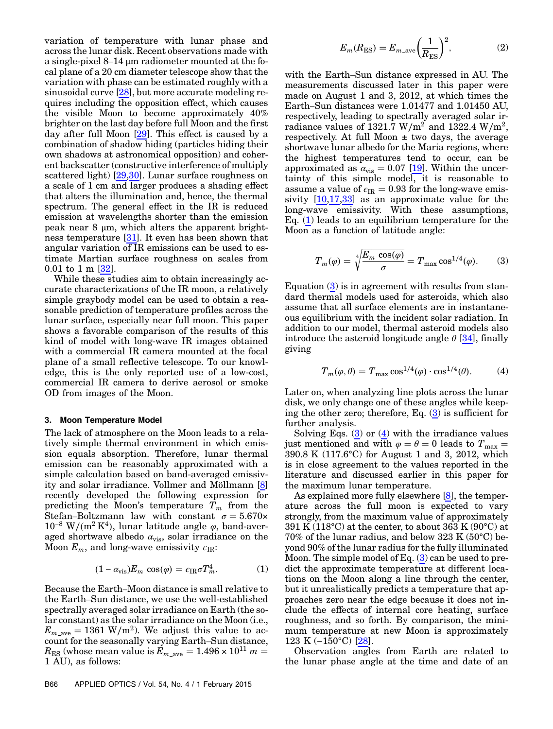variation of temperature with lunar phase and across the lunar disk. Recent observations made with a single-pixel 8–14 μm radiometer mounted at the focal plane of a 20 cm diameter telescope show that the variation with phase can be estimated roughly with a sinusoidal curve [[28\]](#page-10-22), but more accurate modeling requires including the opposition effect, which causes the visible Moon to become approximately 40% brighter on the last day before full Moon and the first day after full Moon [[29\]](#page-10-23). This effect is caused by a combination of shadow hiding (particles hiding their own shadows at astronomical opposition) and coherent backscatter (constructive interference of multiply scattered light) [[29](#page-10-23)[,30](#page-10-24)]. Lunar surface roughness on a scale of 1 cm and larger produces a shading effect that alters the illumination and, hence, the thermal spectrum. The general effect in the IR is reduced emission at wavelengths shorter than the emission peak near 8 μm, which alters the apparent brightness temperature [[31\]](#page-10-25). It even has been shown that angular variation of IR emissions can be used to estimate Martian surface roughness on scales from 0.01 to 1 m [[32\]](#page-10-26).

While these studies aim to obtain increasingly accurate characterizations of the IR moon, a relatively simple graybody model can be used to obtain a reasonable prediction of temperature profiles across the lunar surface, especially near full moon. This paper shows a favorable comparison of the results of this kind of model with long-wave IR images obtained with a commercial IR camera mounted at the focal plane of a small reflective telescope. To our knowledge, this is the only reported use of a low-cost, commercial IR camera to derive aerosol or smoke OD from images of the Moon.

#### 3. Moon Temperature Model

The lack of atmosphere on the Moon leads to a relatively simple thermal environment in which emission equals absorption. Therefore, lunar thermal emission can be reasonably approximated with a simple calculation based on band-averaged emissivity and solar irradiance. Vollmer and Möllmann [\[8\]](#page-10-2) recently developed the following expression for predicting the Moon's temperature  $T_m$  from the Stefan-Boltzmann law with constant  $\sigma = 5.670 \times 10^{-8} \text{ W/(m}^2 \text{ K}^4)$ , lunar latitude angle  $\varphi$ , band-aver-Stefan–Boltzmann law with constant  $\sigma = 5.670 \times 10^{-8}$  W/(m<sup>2</sup> K<sup>4</sup>), lunar latitude angle  $\varphi$ , band-averaged shortwave albedo  $\alpha_{\rm vis}$ , solar irradiance on the aged shortwave albedo  $\alpha_{\text{vis}}$ , solar irradi<br>Moon  $E_m$ , and long-wave emissivity  $\epsilon_{\text{IR}}$ :<br> $(1 - \alpha_{\text{vis}})E_m \cos(\varphi) = \epsilon_{\text{IR}} \sigma T_m^4$ .

$$
(1 - \alpha_{\rm vis}) E_m \cos(\varphi) = \epsilon_{\rm IR} \sigma T_m^4. \tag{1}
$$

<span id="page-2-0"></span>Because the Earth–Moon distance is small relative to the Earth–Sun distance, we use the well-established spectrally averaged solar irradiance on Earth (the solar constant) as the solar irradiance on the Moon (i.e.,  $E_{m \text{ave}} = 1361 \text{ W/m}^2$ . We adjust this value to account for the seasonally varying Earth–Sun distance,  $R_{\text{ES}}$  (whose mean value is  $E_{m\text{ave}} = 1.496 \times 10^{11} m =$ 1 AU), as follows:

$$
E_m(R_{\rm ES}) = E_{m\text{-ave}} \left(\frac{1}{R_{\rm ES}}\right)^2,\tag{2}
$$

with the Earth–Sun distance expressed in AU. The measurements discussed later in this paper were made on August 1 and 3, 2012, at which times the Earth–Sun distances were 1.01477 and 1.01450 AU, respectively, leading to spectrally averaged solar irradiance values of 1321.7 W/m<sup>2</sup> and 1322.4 W/m<sup>2</sup>, respectively. At full Moon  $\pm$  two days, the average shortwave lunar albedo for the Maria regions, where the highest temperatures tend to occur, can be approximated as  $\alpha_{\rm vis} = 0.07$  [\[19](#page-10-13)]. Within the uncertainty of this simple model, it is reasonable to assume a value of  $\epsilon_{IR} = 0.93$  for the long-wave emissivity  $[10,17,33]$  $[10,17,33]$  $[10,17,33]$  $[10,17,33]$  as an approximate value for the long-wave emissivity. With these assumptions, Eq. [\(1\)](#page-2-0) leads to an equilibrium temperature for the Moon as a function of latitude angle:

<span id="page-2-1"></span>
$$
T_m(\varphi) = \sqrt[4]{\frac{E_m \cos(\varphi)}{\sigma}} = T_{\text{max}} \cos^{1/4}(\varphi). \tag{3}
$$

Equation  $(3)$  is in agreement with results from standard thermal models used for asteroids, which also assume that all surface elements are in instantaneous equilibrium with the incident solar radiation. In addition to our model, thermal asteroid models also introduce the asteroid longitude angle  $\theta$  [[34\]](#page-10-28), finally giving

<span id="page-2-2"></span>
$$
T_m(\varphi, \theta) = T_{\text{max}} \cos^{1/4}(\varphi) \cdot \cos^{1/4}(\theta). \tag{4}
$$

Later on, when analyzing line plots across the lunar disk, we only change one of these angles while keeping the other zero; therefore, Eq.  $(3)$  is sufficient for further analysis.

Solving Eqs.  $(3)$  $(3)$  $(3)$  or  $(4)$  $(4)$  $(4)$  with the irradiance values just mentioned and with  $\varphi = \theta = 0$  leads to  $T_{\text{max}} =$ 390.8 K (117.6°C) for August 1 and 3, 2012, which is in close agreement to the values reported in the literature and discussed earlier in this paper for the maximum lunar temperature.

As explained more fully elsewhere [[8](#page-10-2)], the temperature across the full moon is expected to vary strongly, from the maximum value of approximately 391 K (118 $^{\circ}$ C) at the center, to about 363 K (90 $^{\circ}$ C) at  $70\%$  of the lunar radius, and below 323 K ( $50\textdegree$ C) beyond 90% of the lunar radius for the fully illuminated Moon. The simple model of Eq.  $(3)$  $(3)$  $(3)$  can be used to predict the approximate temperature at different locations on the Moon along a line through the center, but it unrealistically predicts a temperature that approaches zero near the edge because it does not include the effects of internal core heating, surface roughness, and so forth. By comparison, the minimum temperature at new Moon is approximately clude the effects of<br>roughness, and so fo<br>mum temperature a<br>123 K (−150°C) [\[28](#page-10-22)].

Observation angles from Earth are related to the lunar phase angle at the time and date of an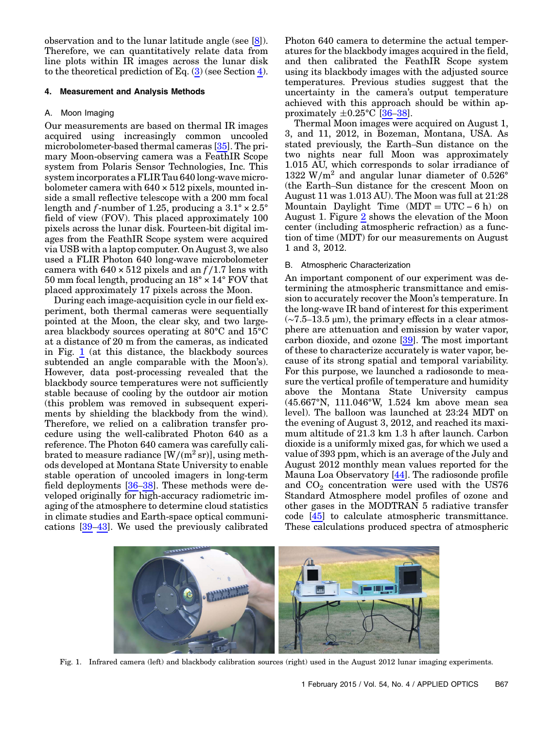observation and to the lunar latitude angle (see [\[8\]](#page-10-2)). Therefore, we can quantitatively relate data from line plots within IR images across the lunar disk to the theoretical prediction of Eq.  $(3)$  (see Section [4](#page-3-0)).

#### <span id="page-3-0"></span>4. Measurement and Analysis Methods

## A. Moon Imaging

Our measurements are based on thermal IR images acquired using increasingly common uncooled microbolometer-based thermal cameras [[35](#page-10-29)]. The primary Moon-observing camera was a FeathIR Scope system from Polaris Sensor Technologies, Inc. This system incorporates a FLIR Tau 640 long-wave microbolometer camera with  $640 \times 512$  pixels, mounted inside a small reflective telescope with a 200 mm focal length and f-number of 1.25, producing a  $3.1^\circ \times 2.5^\circ$ field of view (FOV). This placed approximately 100 pixels across the lunar disk. Fourteen-bit digital images from the FeathIR Scope system were acquired via USB with a laptop computer. On August 3, we also used a FLIR Photon 640 long-wave microbolometer camera with  $640 \times 512$  pixels and an  $f/1.7$  lens with 50 mm focal length, producing an 18° × 14° FOV that placed approximately 17 pixels across the Moon.

During each image-acquisition cycle in our field experiment, both thermal cameras were sequentially pointed at the Moon, the clear sky, and two largearea blackbody sources operating at 80°C and 15°C at a distance of 20 m from the cameras, as indicated in Fig. [1](#page-3-1) (at this distance, the blackbody sources subtended an angle comparable with the Moon's). However, data post-processing revealed that the blackbody source temperatures were not sufficiently stable because of cooling by the outdoor air motion (this problem was removed in subsequent experiments by shielding the blackbody from the wind). Therefore, we relied on a calibration transfer procedure using the well-calibrated Photon 640 as a reference. The Photon 640 camera was carefully calibrated to measure radiance  $[W/(m^2 sr)]$ , using methods developed at Montana State University to enable stable operation of uncooled imagers in long-term field deployments [\[36](#page-10-30)–[38](#page-10-31)]. These methods were developed originally for high-accuracy radiometric imaging of the atmosphere to determine cloud statistics in climate studies and Earth-space optical communications [\[39](#page-10-32)–[43](#page-10-33)]. We used the previously calibrated Photon 640 camera to determine the actual temperatures for the blackbody images acquired in the field, and then calibrated the FeathIR Scope system using its blackbody images with the adjusted source temperatures. Previous studies suggest that the uncertainty in the camera's output temperature achieved with this approach should be within approximately  $\pm 0.25^{\circ}$ C [\[36](#page-10-30)–[38](#page-10-31)].

Thermal Moon images were acquired on August 1, 3, and 11, 2012, in Bozeman, Montana, USA. As stated previously, the Earth–Sun distance on the two nights near full Moon was approximately 1.015 AU, which corresponds to solar irradiance of  $1322 \text{ W/m}^2$  and angular lunar diameter of 0.526° (the Earth–Sun distance for the crescent Moon on August 11 was 1.013 AU). The Moon was full at 21:28  $1322 \text{ W/m}^2$  and angular lunar diameter of  $0.526^{\circ}$ <br>(the Earth–Sun distance for the crescent Moon on<br>August 11 was 1.013 AU). The Moon was full at 21:28<br>Mountain Daylight Time (MDT = UTC − 6 h) on August 1. Figure [2](#page-4-0) shows the elevation of the Moon center (including atmospheric refraction) as a function of time (MDT) for our measurements on August 1 and 3, 2012.

# B. Atmospheric Characterization

An important component of our experiment was determining the atmospheric transmittance and emission to accurately recover the Moon's temperature. In the long-wave IR band of interest for this experiment (∼7.5–13.5 μm), the primary effects in a clear atmosphere are attenuation and emission by water vapor, carbon dioxide, and ozone [\[39\]](#page-10-32). The most important of these to characterize accurately is water vapor, because of its strong spatial and temporal variability. For this purpose, we launched a radiosonde to measure the vertical profile of temperature and humidity above the Montana State University campus (45.667°N, 111.046°W, 1.524 km above mean sea level). The balloon was launched at 23:24 MDT on the evening of August 3, 2012, and reached its maximum altitude of 21.3 km 1.3 h after launch. Carbon dioxide is a uniformly mixed gas, for which we used a value of 393 ppm, which is an average of the July and August 2012 monthly mean values reported for the Mauna Loa Observatory [[44\]](#page-10-34). The radiosonde profile and  $CO<sub>2</sub>$  concentration were used with the US76 Standard Atmosphere model profiles of ozone and other gases in the MODTRAN 5 radiative transfer code [\[45](#page-10-35)] to calculate atmospheric transmittance. These calculations produced spectra of atmospheric

<span id="page-3-1"></span>

Fig. 1. Infrared camera (left) and blackbody calibration sources (right) used in the August 2012 lunar imaging experiments.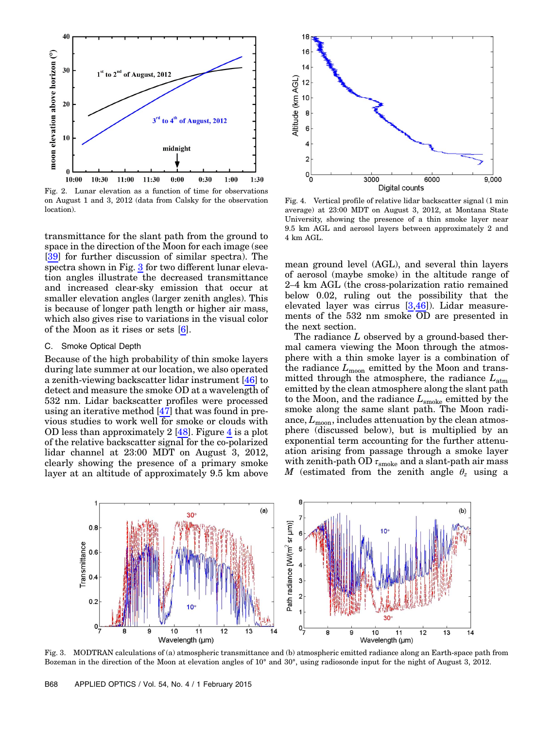<span id="page-4-0"></span>

Fig. 2. Lunar elevation as a function of time for observations on August 1 and 3, 2012 (data from Calsky for the observation location).

transmittance for the slant path from the ground to space in the direction of the Moon for each image (see [\[39](#page-10-32)] for further discussion of similar spectra). The spectra shown in Fig. [3](#page-4-1) for two different lunar elevation angles illustrate the decreased transmittance and increased clear-sky emission that occur at smaller elevation angles (larger zenith angles). This is because of longer path length or higher air mass, which also gives rise to variations in the visual color of the Moon as it rises or sets [\[6\]](#page-10-0).

### C. Smoke Optical Depth

Because of the high probability of thin smoke layers during late summer at our location, we also operated a zenith-viewing backscatter lidar instrument [[46\]](#page-10-36) to detect and measure the smoke OD at a wavelength of 532 nm. Lidar backscatter profiles were processed using an iterative method [\[47](#page-10-37)] that was found in previous studies to work well for smoke or clouds with OD less than approximately 2 [[48\]](#page-10-38). Figure [4](#page-4-2) is a plot of the relative backscatter signal for the co-polarized lidar channel at 23:00 MDT on August 3, 2012, clearly showing the presence of a primary smoke layer at an altitude of approximately 9.5 km above

<span id="page-4-2"></span>

Fig. 4. Vertical profile of relative lidar backscatter signal (1 min average) at 23:00 MDT on August 3, 2012, at Montana State University, showing the presence of a thin smoke layer near 9.5 km AGL and aerosol layers between approximately 2 and 4 km AGL.

mean ground level (AGL), and several thin layers of aerosol (maybe smoke) in the altitude range of 2–4 km AGL (the cross-polarization ratio remained below 0.02, ruling out the possibility that the elevated layer was cirrus [\[3,](#page-9-3)[46\]](#page-10-36)). Lidar measurements of the 532 nm smoke OD are presented in the next section.

The radiance L observed by a ground-based thermal camera viewing the Moon through the atmosphere with a thin smoke layer is a combination of the radiance  $L_{\text{moon}}$  emitted by the Moon and transmitted through the atmosphere, the radiance  $L_{\text{atm}}$ emitted by the clean atmosphere along the slant path to the Moon, and the radiance  $L_{\rm smoke}$  emitted by the smoke along the same slant path. The Moon radiance,  $L_{\text{moon}}$ , includes attenuation by the clean atmosphere (discussed below), but is multiplied by an exponential term accounting for the further attenuation arising from passage through a smoke layer with zenith-path OD  $\tau_{\rm smoke}$  and a slant-path air mass M (estimated from the zenith angle  $\theta_z$  using a

<span id="page-4-1"></span>

Fig. 3. MODTRAN calculations of (a) atmospheric transmittance and (b) atmospheric emitted radiance along an Earth-space path from Bozeman in the direction of the Moon at elevation angles of 10° and 30°, using radiosonde input for the night of August 3, 2012.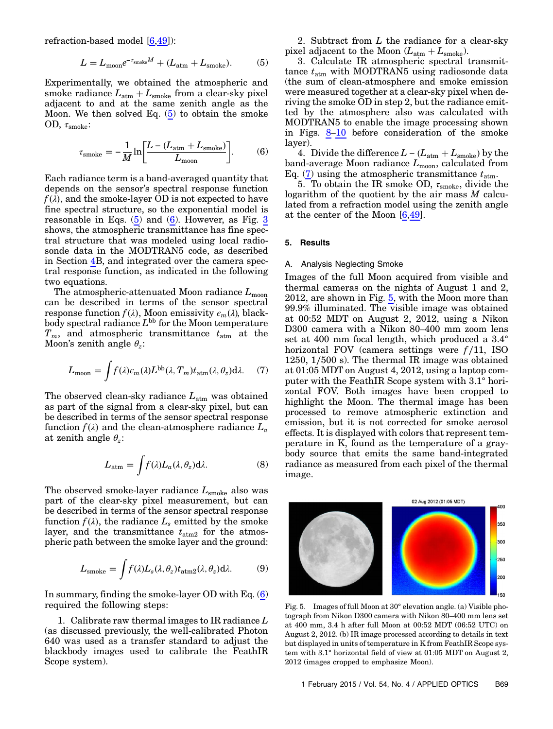<span id="page-5-0"></span>refraction-based model [6,49]):  
\n
$$
L = L_{\text{moon}}e^{-\tau_{\text{smoke}}M} + (L_{\text{atm}} + L_{\text{smoke}}). \tag{5}
$$

Experimentally, we obtained the atmospheric and smoke radiance  $L_{\text{atm}} + L_{\text{smoke}}$  from a clear-sky pixel adjacent to and at the same zenith angle as the Moon. We then solved Eq. [\(5\)](#page-5-0) to obtain the smoke<br>
OD,  $\tau_{\text{smoke}}$ :<br>  $\tau_{\text{sub}} = -\frac{1}{2} \ln \left[ \frac{L - (L_{\text{atm}} + L_{\text{smoke}})}{L} \right]$  (6) OD,  $\tau_{\rm smoke}$ :

<span id="page-5-1"></span>
$$
\tau_{\rm smoke} = -\frac{1}{M} \ln \left[ \frac{L - (L_{\rm atm} + L_{\rm smoke})}{L_{\rm moon}} \right].
$$
 (6)

Each radiance term is a band-averaged quantity that depends on the sensor's spectral response function  $f(\lambda)$ , and the smoke-layer OD is not expected to have fine spectral structure, so the exponential model is reasonable in Eqs.  $(5)$  $(5)$  $(5)$  and  $(6)$ . However, as Fig. [3](#page-4-1) shows, the atmospheric transmittance has fine spectral structure that was modeled using local radiosonde data in the MODTRAN5 code, as described in Section [4B](#page-3-0), and integrated over the camera spectral response function, as indicated in the following two equations.

The atmospheric-attenuated Moon radiance  $L_{\text{moon}}$ can be described in terms of the sensor spectral response function  $f(\lambda)$ , Moon emissivity  $\epsilon_m(\lambda)$ , blackbody spectral radiance  $L^{bb}$  for the Moon temperature  $T_m$ , and atmospheric transmittance  $t_{\text{atm}}$  at the Moon's zenith angle  $\theta_z$ :

<span id="page-5-2"></span>
$$
L_{\text{moon}} = \int f(\lambda) \epsilon_m(\lambda) L^{\text{bb}}(\lambda, T_m) t_{\text{atm}}(\lambda, \theta_z) d\lambda. \tag{7}
$$

The observed clean-sky radiance  $L_{\text{atm}}$  was obtained as part of the signal from a clear-sky pixel, but can be described in terms of the sensor spectral response function  $f(\lambda)$  and the clean-atmosphere radiance  $L_a$ at zenith angle  $\theta_z$ :

$$
L_{\text{atm}} = \int f(\lambda) L_a(\lambda, \theta_z) d\lambda.
$$
 (8)

The observed smoke-layer radiance  $L_{\text{smoke}}$  also was part of the clear-sky pixel measurement, but can be described in terms of the sensor spectral response function  $f(\lambda)$ , the radiance  $L_s$  emitted by the smoke layer, and the transmittance  $t_{\text{atm2}}$  for the atmospheric path between the smoke layer and the ground:

$$
L_{\text{smoke}} = \int f(\lambda) L_s(\lambda, \theta_z) t_{\text{atm2}}(\lambda, \theta_z) d\lambda.
$$
 (9)

In summary, finding the smoke-layer OD with Eq.  $(6)$ required the following steps:

1. Calibrate raw thermal images to IR radiance  $L$ (as discussed previously, the well-calibrated Photon 640 was used as a transfer standard to adjust the blackbody images used to calibrate the FeathIR Scope system).

2. Subtract from L the radiance for a clear-sky pixel adjacent to the Moon  $(L_{\text{atm}} + L_{\text{smoke}})$ .

3. Calculate IR atmospheric spectral transmittance  $t_{\text{atm}}$  with MODTRAN5 using radiosonde data (the sum of clean-atmosphere and smoke emission were measured together at a clear-sky pixel when deriving the smoke OD in step 2, but the radiance emitted by the atmosphere also was calculated with MODTRAN5 to enable the image processing shown in Figs. [8](#page-6-0)–[10](#page-7-0) before consideration of the smoke layer).

4. Divide the difference  $L - (L_{\text{atm}} + L_{\text{smoke}})$  by the band-average Moon radiance  $L_{\text{moon}}$ , calculated from Eq. [\(7\)](#page-5-2) using the atmospheric transmittance  $t_{\text{atm}}$ .

5. To obtain the IR smoke OD,  $\tau_{\text{smoke}}$ , divide the logarithm of the quotient by the air mass  $M$  calculated from a refraction model using the zenith angle at the center of the Moon [[6](#page-10-0)[,49](#page-11-0)].

# 5. Results

#### A. Analysis Neglecting Smoke

Images of the full Moon acquired from visible and thermal cameras on the nights of August 1 and 2, 2012, are shown in Fig. [5](#page-5-3), with the Moon more than 99.9% illuminated. The visible image was obtained at 00:52 MDT on August 2, 2012, using a Nikon D300 camera with a Nikon 80–400 mm zoom lens set at 400 mm focal length, which produced a 3.4° horizontal FOV (camera settings were  $f/11$ , ISO 1250, 1∕500 s). The thermal IR image was obtained at 01:05 MDT on August 4, 2012, using a laptop computer with the FeathIR Scope system with 3.1° horizontal FOV. Both images have been cropped to highlight the Moon. The thermal image has been processed to remove atmospheric extinction and emission, but it is not corrected for smoke aerosol effects. It is displayed with colors that represent temperature in K, found as the temperature of a graybody source that emits the same band-integrated radiance as measured from each pixel of the thermal image.

<span id="page-5-3"></span>

Fig. 5. Images of full Moon at 30° elevation angle. (a) Visible photograph from Nikon D300 camera with Nikon 80–400 mm lens set at 400 mm, 3.4 h after full Moon at 00:52 MDT (06:52 UTC) on August 2, 2012. (b) IR image processed according to details in text but displayed in units of temperature in K from FeathIR Scope system with 3.1° horizontal field of view at 01:05 MDT on August 2, 2012 (images cropped to emphasize Moon).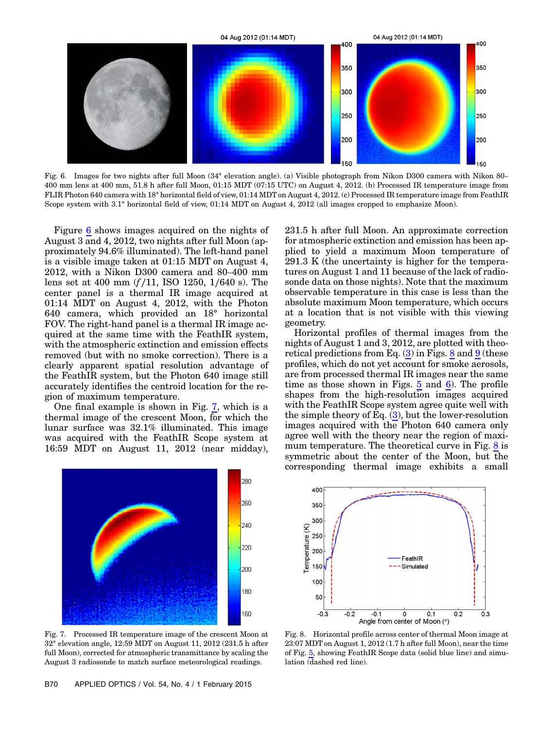<span id="page-6-1"></span>

Fig. 6. Images for two nights after full Moon (34° elevation angle). (a) Visible photograph from Nikon D300 camera with Nikon 80– 400 mm lens at 400 mm, 51.8 h after full Moon, 01:15 MDT (07:15 UTC) on August 4, 2012. (b) Processed IR temperature image from FLIR Photon 640 camera with 18° horizontal field of view, 01:14 MDT on August 4, 2012. (c) Processed IR temperature image from FeathIR Scope system with 3.1° horizontal field of view, 01:14 MDT on August 4, 2012 (all images cropped to emphasize Moon).

Figure [6](#page-6-1) shows images acquired on the nights of August 3 and 4, 2012, two nights after full Moon (approximately 94.6% illuminated). The left-hand panel is a visible image taken at 01:15 MDT on August 4, 2012, with a Nikon D300 camera and 80–400 mm lens set at 400 mm (f ∕11, ISO 1250, 1∕640 s). The center panel is a thermal IR image acquired at 01:14 MDT on August 4, 2012, with the Photon 640 camera, which provided an 18° horizontal FOV. The right-hand panel is a thermal IR image acquired at the same time with the FeathIR system, with the atmospheric extinction and emission effects removed (but with no smoke correction). There is a clearly apparent spatial resolution advantage of the FeathIR system, but the Photon 640 image still accurately identifies the centroid location for the region of maximum temperature.

One final example is shown in Fig. [7](#page-6-2), which is a thermal image of the crescent Moon, for which the lunar surface was 32.1% illuminated. This image was acquired with the FeathIR Scope system at 16:59 MDT on August 11, 2012 (near midday),

<span id="page-6-2"></span>

Fig. 7. Processed IR temperature image of the crescent Moon at 32° elevation angle, 12:59 MDT on August 11, 2012 (231.5 h after full Moon), corrected for atmospheric transmittance by scaling the August 3 radiosonde to match surface meteorological readings.

231.5 h after full Moon. An approximate correction for atmospheric extinction and emission has been applied to yield a maximum Moon temperature of 291.3 K (the uncertainty is higher for the temperatures on August 1 and 11 because of the lack of radiosonde data on those nights). Note that the maximum observable temperature in this case is less than the absolute maximum Moon temperature, which occurs at a location that is not visible with this viewing geometry.

Horizontal profiles of thermal images from the nights of August 1 and 3, 2012, are plotted with theoretical predictions from Eq.  $(3)$  $(3)$  $(3)$  in Figs. [8](#page-6-0) and [9](#page-7-1) (these profiles, which do not yet account for smoke aerosols, are from processed thermal IR images near the same time as those shown in Figs. [5](#page-5-3) and [6](#page-6-1)). The profile shapes from the high-resolution images acquired with the FeathIR Scope system agree quite well with the simple theory of Eq.  $(3)$  $(3)$  $(3)$ , but the lower-resolution images acquired with the Photon 640 camera only agree well with the theory near the region of maxi-mum temperature. The theoretical curve in Fig. [8](#page-6-0) is symmetric about the center of the Moon, but the corresponding thermal image exhibits a small

<span id="page-6-0"></span>

Fig. 8. Horizontal profile across center of thermal Moon image at 23:07 MDT on August 1, 2012 (1.7 h after full Moon), near the time of Fig. [5](#page-5-3), showing FeathIR Scope data (solid blue line) and simulation (dashed red line).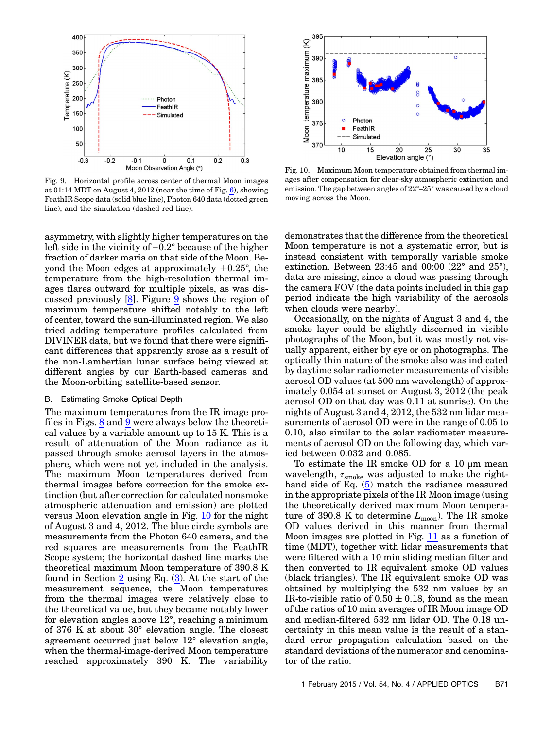<span id="page-7-1"></span>

Fig. 9. Horizontal profile across center of thermal Moon images at 01:14 MDT on August 4, 2012 (near the time of Fig. [6](#page-6-1)), showing FeathIR Scope data (solid blue line), Photon 640 data (dotted green line), and the simulation (dashed red line).

asymmetry, with slightly higher temperatures on the left side in the vicinity of <sup>−</sup>0.2° because of the higher fraction of darker maria on that side of the Moon. Beyond the Moon edges at approximately  $\pm 0.25^{\circ}$ , the temperature from the high-resolution thermal images flares outward for multiple pixels, as was discussed previously [\[8\]](#page-10-2). Figure [9](#page-7-1) shows the region of maximum temperature shifted notably to the left of center, toward the sun-illuminated region. We also tried adding temperature profiles calculated from DIVINER data, but we found that there were significant differences that apparently arose as a result of the non-Lambertian lunar surface being viewed at different angles by our Earth-based cameras and the Moon-orbiting satellite-based sensor.

## B. Estimating Smoke Optical Depth

The maximum temperatures from the IR image profiles in Figs. [8](#page-6-0) and [9](#page-7-1) were always below the theoretical values by a variable amount up to 15 K. This is a result of attenuation of the Moon radiance as it passed through smoke aerosol layers in the atmosphere, which were not yet included in the analysis. The maximum Moon temperatures derived from thermal images before correction for the smoke extinction (but after correction for calculated nonsmoke atmospheric attenuation and emission) are plotted versus Moon elevation angle in Fig. [10](#page-7-0) for the night of August 3 and 4, 2012. The blue circle symbols are measurements from the Photon 640 camera, and the red squares are measurements from the FeathIR Scope system; the horizontal dashed line marks the theoretical maximum Moon temperature of 390.8 K found in Section  $2$  using Eq.  $(3)$  $(3)$  $(3)$ . At the start of the measurement sequence, the Moon temperatures from the thermal images were relatively close to the theoretical value, but they became notably lower for elevation angles above 12°, reaching a minimum of 376 K at about 30° elevation angle. The closest agreement occurred just below 12° elevation angle, when the thermal-image-derived Moon temperature reached approximately 390 K. The variability

<span id="page-7-0"></span>

Fig. 10. Maximum Moon temperature obtained from thermal images after compensation for clear-sky atmospheric extinction and emission. The gap between angles of 22°–25° was caused by a cloud moving across the Moon.

demonstrates that the difference from the theoretical Moon temperature is not a systematic error, but is instead consistent with temporally variable smoke extinction. Between 23:45 and 00:00 (22° and 25°), data are missing, since a cloud was passing through the camera FOV (the data points included in this gap period indicate the high variability of the aerosols when clouds were nearby).

Occasionally, on the nights of August 3 and 4, the smoke layer could be slightly discerned in visible photographs of the Moon, but it was mostly not visually apparent, either by eye or on photographs. The optically thin nature of the smoke also was indicated by daytime solar radiometer measurements of visible aerosol OD values (at 500 nm wavelength) of approximately 0.054 at sunset on August 3, 2012 (the peak aerosol OD on that day was 0.11 at sunrise). On the nights of August 3 and 4, 2012, the 532 nm lidar measurements of aerosol OD were in the range of 0.05 to 0.10, also similar to the solar radiometer measurements of aerosol OD on the following day, which varied between 0.032 and 0.085.

To estimate the IR smoke OD for a 10 μm mean wavelength,  $\tau_{\rm smoke}$  was adjusted to make the righthand side of Eq. ([5](#page-5-0)) match the radiance measured in the appropriate pixels of the IR Moon image (using the theoretically derived maximum Moon temperature of 390.8 K to determine  $L_{\text{moon}}$ ). The IR smoke OD values derived in this manner from thermal Moon images are plotted in Fig. [11](#page-8-0) as a function of time (MDT), together with lidar measurements that were filtered with a 10 min sliding median filter and then converted to IR equivalent smoke OD values (black triangles). The IR equivalent smoke OD was obtained by multiplying the 532 nm values by an IR-to-visible ratio of  $0.50 \pm 0.18$ , found as the mean of the ratios of 10 min averages of IR Moon image OD and median-filtered 532 nm lidar OD. The 0.18 uncertainty in this mean value is the result of a standard error propagation calculation based on the standard deviations of the numerator and denominator of the ratio.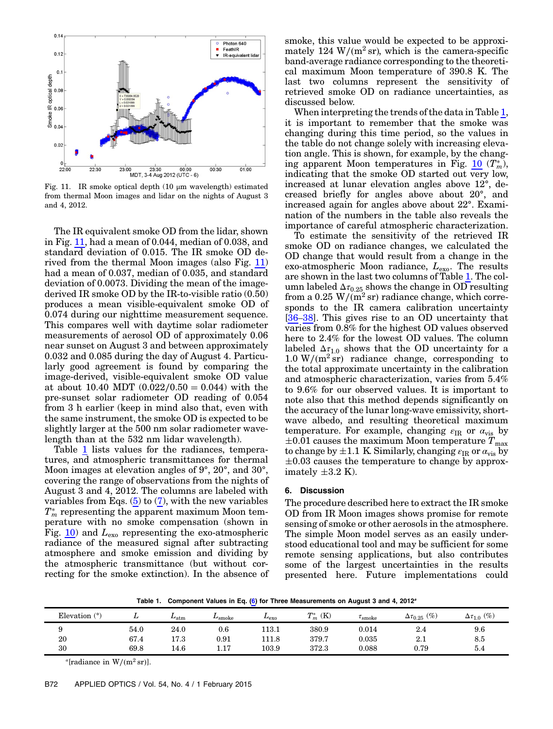<span id="page-8-0"></span>

Fig. 11. IR smoke optical depth (10 μm wavelength) estimated from thermal Moon images and lidar on the nights of August 3 and 4, 2012.

The IR equivalent smoke OD from the lidar, shown in Fig. [11,](#page-8-0) had a mean of 0.044, median of 0.038, and standard deviation of 0.015. The IR smoke OD derived from the thermal Moon images (also Fig. [11\)](#page-8-0) had a mean of 0.037, median of 0.035, and standard deviation of 0.0073. Dividing the mean of the imagederived IR smoke OD by the IR-to-visible ratio (0.50) produces a mean visible-equivalent smoke OD of 0.074 during our nighttime measurement sequence. This compares well with daytime solar radiometer measurements of aerosol OD of approximately 0.06 near sunset on August 3 and between approximately 0.032 and 0.085 during the day of August 4. Particularly good agreement is found by comparing the image-derived, visible-equivalent smoke OD value at about 10.40 MDT  $(0.022/0.50 = 0.044)$  with the pre-sunset solar radiometer OD reading of 0.054 from 3 h earlier (keep in mind also that, even with the same instrument, the smoke OD is expected to be slightly larger at the 500 nm solar radiometer wavelength than at the 532 nm lidar wavelength).

Table [1](#page-8-1) lists values for the radiances, temperatures, and atmospheric transmittances for thermal Moon images at elevation angles of 9°, 20°, and 30°, covering the range of observations from the nights of August 3 and 4, 2012. The columns are labeled with variables from Eqs.  $(5)$  $(5)$  $(5)$  to  $(7)$ , with the new variables  $T_{m}^{*}$  representing the apparent maximum Moon temperature with no smoke compensation (shown in Fig.  $10$ ) and  $L_{\text{exo}}$  representing the exo-atmospheric radiance of the measured signal after subtracting atmosphere and smoke emission and dividing by the atmospheric transmittance (but without correcting for the smoke extinction). In the absence of

smoke, this value would be expected to be approximately 124 W/( $m^2$  sr), which is the camera-specific band-average radiance corresponding to the theoretical maximum Moon temperature of 390.8 K. The last two columns represent the sensitivity of retrieved smoke OD on radiance uncertainties, as discussed below.

When interpreting the trends of the data in Table [1](#page-8-1), it is important to remember that the smoke was changing during this time period, so the values in the table do not change solely with increasing elevation angle. This is shown, for example, by the changing apparent Moon temperatures in Fig.  $\underline{10}$  $\underline{10}$  $\underline{10}$   $(T_m^*),$ indicating that the smoke OD started out very low, increased at lunar elevation angles above 12°, decreased briefly for angles above about 20°, and increased again for angles above about 22°. Examination of the numbers in the table also reveals the importance of careful atmospheric characterization.

To estimate the sensitivity of the retrieved IR smoke OD on radiance changes, we calculated the OD change that would result from a change in the exo-atmospheric Moon radiance,  $L_{\text{exo}}$ . The results are shown in the last two columns of Table [1](#page-8-1). The column labeled  $\Delta \tau_{0.25}$  shows the change in OD resulting from a 0.25 W/( $m^2$  sr) radiance change, which corresponds to the IR camera calibration uncertainty [\[36](#page-10-30)–[38](#page-10-31)]. This gives rise to an OD uncertainty that varies from 0.8% for the highest OD values observed here to 2.4% for the lowest OD values. The column labeled  $\Delta \tau_{1,0}$  shows that the OD uncertainty for a  $1.0 \text{ W/(m}^2 \text{ sr})$  radiance change, corresponding to the total approximate uncertainty in the calibration and atmospheric characterization, varies from 5.4% to 9.6% for our observed values. It is important to note also that this method depends significantly on the accuracy of the lunar long-wave emissivity, shortwave albedo, and resulting theoretical maximum temperature. For example, changing  $\varepsilon_{IR}$  or  $\alpha_{vis}$  by  $\pm 0.01$  causes the maximum Moon temperature  $T_{\text{max}}$ to change by  $\pm 1.1$  K. Similarly, changing  $\varepsilon_{IR}$  or  $\alpha_{vis}$  by  $\pm 0.03$  causes the temperature to change by approximately  $\pm 3.2$  K).

## 6. Discussion

The procedure described here to extract the IR smoke OD from IR Moon images shows promise for remote sensing of smoke or other aerosols in the atmosphere. The simple Moon model serves as an easily understood educational tool and may be sufficient for some remote sensing applications, but also contributes some of the largest uncertainties in the results presented here. Future implementations could

Table 1. Component Values in Eq. [\(6](#page-5-1)) for Three Measurements on August 3 and 4, 2012<sup>a</sup>

<span id="page-8-1"></span>

| Elevation $(°)$ |      | $L_{\text{atm}}$ | $L_{\rm smoke}$ | $L_{\rm ex0}$ | $T_m^*$ (K) | $\tau_{\rm smoke}$ | $\Delta\tau_{0.25}$ (%) | $\Delta\tau_{1.0}$ (%) |
|-----------------|------|------------------|-----------------|---------------|-------------|--------------------|-------------------------|------------------------|
| ັ               | 54.0 | 24.0             | 0.6             | 113.1         | 380.9       | 0.014              | 2.4                     | 9.6                    |
| 20              | 67.4 | 17.3             | 0.91            | 111.8         | 379.7       | 0.035              | റു<br>Z.I               | 8.5                    |
| 30              | 69.8 | 14.6             | 17<br>1. L .    | 103.9         | 372.3       | 0.088              | 0.79                    | 5.4                    |

 $a$ [radiance in W/(m<sup>2</sup> sr)].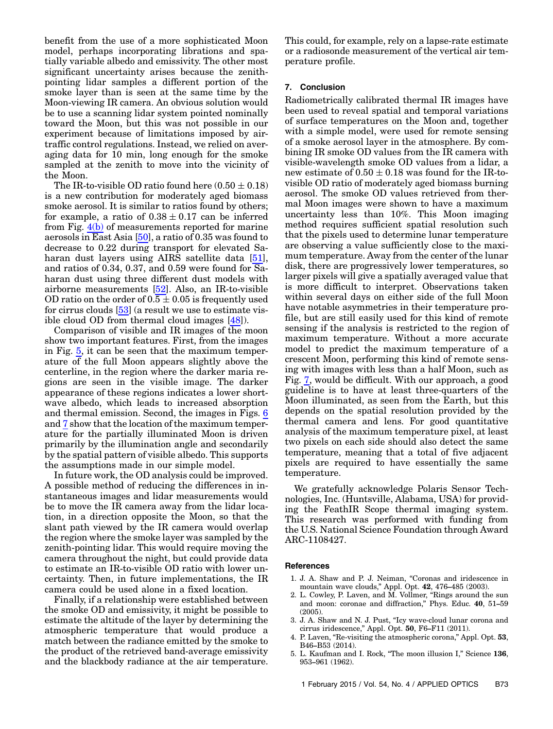benefit from the use of a more sophisticated Moon model, perhaps incorporating librations and spatially variable albedo and emissivity. The other most significant uncertainty arises because the zenithpointing lidar samples a different portion of the smoke layer than is seen at the same time by the Moon-viewing IR camera. An obvious solution would be to use a scanning lidar system pointed nominally toward the Moon, but this was not possible in our experiment because of limitations imposed by airtraffic control regulations. Instead, we relied on averaging data for 10 min, long enough for the smoke sampled at the zenith to move into the vicinity of the Moon.

The IR-to-visible OD ratio found here  $(0.50 \pm 0.18)$ is a new contribution for moderately aged biomass smoke aerosol. It is similar to ratios found by others; for example, a ratio of  $0.38 \pm 0.17$  can be inferred from Fig.  $4(b)$  of measurements reported for marine aerosols in East Asia [\[50](#page-11-1)], a ratio of 0.35 was found to decrease to 0.22 during transport for elevated Saharan dust layers using AIRS satellite data [\[51](#page-11-2)], and ratios of 0.34, 0.37, and 0.59 were found for Saharan dust using three different dust models with airborne measurements [\[52](#page-11-3)]. Also, an IR-to-visible OD ratio on the order of  $0.5 \pm 0.05$  is frequently used for cirrus clouds [\[53](#page-11-4)] (a result we use to estimate visible cloud OD from thermal cloud images [\[48](#page-10-38)]).

Comparison of visible and IR images of the moon show two important features. First, from the images in Fig. [5](#page-5-3), it can be seen that the maximum temperature of the full Moon appears slightly above the centerline, in the region where the darker maria regions are seen in the visible image. The darker appearance of these regions indicates a lower shortwave albedo, which leads to increased absorption and thermal emission. Second, the images in Figs. [6](#page-6-1) and [7](#page-6-2) show that the location of the maximum temperature for the partially illuminated Moon is driven primarily by the illumination angle and secondarily by the spatial pattern of visible albedo. This supports the assumptions made in our simple model.

In future work, the OD analysis could be improved. A possible method of reducing the differences in instantaneous images and lidar measurements would be to move the IR camera away from the lidar location, in a direction opposite the Moon, so that the slant path viewed by the IR camera would overlap the region where the smoke layer was sampled by the zenith-pointing lidar. This would require moving the camera throughout the night, but could provide data to estimate an IR-to-visible OD ratio with lower uncertainty. Then, in future implementations, the IR camera could be used alone in a fixed location.

Finally, if a relationship were established between the smoke OD and emissivity, it might be possible to estimate the altitude of the layer by determining the atmospheric temperature that would produce a match between the radiance emitted by the smoke to the product of the retrieved band-average emissivity and the blackbody radiance at the air temperature. This could, for example, rely on a lapse-rate estimate or a radiosonde measurement of the vertical air temperature profile.

## 7. Conclusion

Radiometrically calibrated thermal IR images have been used to reveal spatial and temporal variations of surface temperatures on the Moon and, together with a simple model, were used for remote sensing of a smoke aerosol layer in the atmosphere. By combining IR smoke OD values from the IR camera with visible-wavelength smoke OD values from a lidar, a new estimate of  $0.50 \pm 0.18$  was found for the IR-tovisible OD ratio of moderately aged biomass burning aerosol. The smoke OD values retrieved from thermal Moon images were shown to have a maximum uncertainty less than 10%. This Moon imaging method requires sufficient spatial resolution such that the pixels used to determine lunar temperature are observing a value sufficiently close to the maximum temperature. Away from the center of the lunar disk, there are progressively lower temperatures, so larger pixels will give a spatially averaged value that is more difficult to interpret. Observations taken within several days on either side of the full Moon have notable asymmetries in their temperature profile, but are still easily used for this kind of remote sensing if the analysis is restricted to the region of maximum temperature. Without a more accurate model to predict the maximum temperature of a crescent Moon, performing this kind of remote sensing with images with less than a half Moon, such as Fig. [7](#page-6-2), would be difficult. With our approach, a good guideline is to have at least three-quarters of the Moon illuminated, as seen from the Earth, but this depends on the spatial resolution provided by the thermal camera and lens. For good quantitative analysis of the maximum temperature pixel, at least two pixels on each side should also detect the same temperature, meaning that a total of five adjacent pixels are required to have essentially the same temperature.

We gratefully acknowledge Polaris Sensor Technologies, Inc. (Huntsville, Alabama, USA) for providing the FeathIR Scope thermal imaging system. This research was performed with funding from the U.S. National Science Foundation through Award ARC-1108427.

#### <span id="page-9-0"></span>References

- 1. J. A. Shaw and P. J. Neiman, "Coronas and iridescence in mountain wave clouds," Appl. Opt. <sup>42</sup>, 476–485 (2003).
- <span id="page-9-3"></span>2. L. Cowley, P. Laven, and M. Vollmer, "Rings around the sun and moon: coronae and diffraction," Phys. Educ. <sup>40</sup>, 51–<sup>59</sup> (2005).
- <span id="page-9-1"></span>3. J. A. Shaw and N. J. Pust, "Icy wave-cloud lunar corona and cirrus iridescence," Appl. Opt. <sup>50</sup>, F6–F11 (2011).
- <span id="page-9-2"></span>cirrus iridescence," Appl. Opt. **50**, F6–F11 (2011).<br>4. P. Laven, "Re-visiting the atmospheric corona," Appl. Opt. **53**, B46–B53 (2014).
- 5. L. Kaufman and I. Rock, "The moon illusion I," Science <sup>136</sup>, <sup>953</sup>–961 (1962).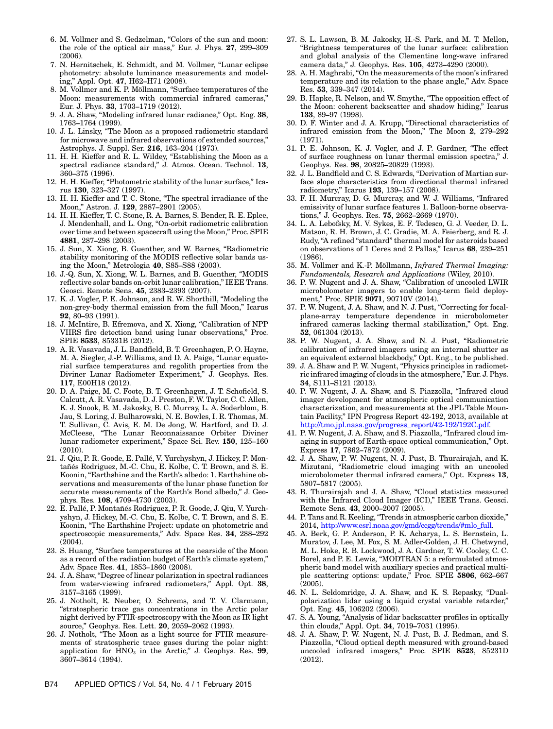- <span id="page-10-0"></span>6. M. Vollmer and S. Gedzelman, "Colors of the sun and moon: the role of the optical air mass," Eur. J. Phys. <sup>27</sup>, 299–<sup>309</sup> (2006).
- <span id="page-10-1"></span>7. N. Hernitschek, E. Schmidt, and M. Vollmer, "Lunar eclipse photometry: absolute luminance measurements and modeling," Appl. Opt. <sup>47</sup>, H62–H71 (2008).
- <span id="page-10-2"></span>8. M. Vollmer and K. P. Möllmann, "Surface temperatures of the M. Vollmer and K. P. Möllmann, "Surface temperatures of the<br>Moon: measurements with commercial infrared cameras,"<br>Eur. J. Phys. **33**, 1703–1719 (2012).
- <span id="page-10-3"></span>9. J. A. Shaw, "Modeling infrared lunar radiance," Opt. Eng. <sup>38</sup>, <sup>1763</sup>–1764 (1999).
- <span id="page-10-4"></span>1763–1764 (1999).<br>10. J. L. Linsky, "The Moon as a proposed radiometric standard J. L. Linsky, "The Moon as a proposed radiometric standard<br>for microwave and infrared observations of extended sources,"<br>Astrophys. J. Suppl. Ser. **216**, 163–204 (1973).
- <span id="page-10-7"></span>Astrophys. J. Suppl. Ser.  $216$ ,  $163-204$  (1973).<br>11. H. H. Kieffer and R. L. Wildey, "Establishing the Moon as a H. H. Kieffer and R. L. Wildey, "Establishing the Moon as a<br>spectral radiance standard," J. Atmos. Ocean. Technol. **13,**<br>360–375 (1996).
- <span id="page-10-6"></span>12. H. H. Kieffer, "Photometric stability of the lunar surface," Ica-rus <sup>130</sup>, 323–327 (1997).
- <span id="page-10-8"></span>13. H. H. Kieffer and T. C. Stone, "The spectral irradiance of the Moon," Astron. J. <sup>129</sup>, 2887–2901 (2005).
- <span id="page-10-9"></span>14. H. H. Kieffer, T. C. Stone, R. A. Barnes, S. Bender, R. E. Eplee, J. Mendenhall, and L. Ong, "On-orbit radiometric calibration J. Mendenhall, and L. Ong, "On-orbit radiometric calibration<br>over time and between spacecraft using the Moon," Proc. SPIE<br>**4881**, 287–298 (2003).
- <span id="page-10-10"></span>15. J. Sun, X. Xiong, B. Guenther, and W. Barnes, "Radiometric stability monitoring of the MODIS reflective solar bands us-J. Sun, X. Xiong, B. Guenther, and W. Barnes,<br>stability monitoring of the MODIS reflective sc<br>ing the Moon," Metrologia **40**, S85–S88 (2003). ing the Moon," Metrologia 40, S85–S88 (2003).<br>16. J.-Q. Sun, X. Xiong, W. L. Barnes, and B. Guenther, "MODIS
- <span id="page-10-5"></span>J.-Q. Sun, X. Xiong, W. L. Barnes, and B. Guenther, "MODIS<br>reflective solar bands on-orbit lunar calibration," IEEE Trans.<br>Geosci. Remote Sens. **45**, 2383–2393 (2007). 17. K. J. Vogler, P. E. Johnson, and R. W. Shorthill, "Modeling the
- <span id="page-10-11"></span>K. J. Vogler, P. E. Johnson, and R. W. Shorthill, "Modeling the<br>non-grey-body thermal emission from the full Moon," Icarus<br>**92**, 80–93 (1991). 92, 80–93 (1991).<br>18. J. McIntire, B. Efremova, and X. Xiong, "Calibration of NPP
- <span id="page-10-12"></span>VIIRS fire detection band using lunar observations," Proc. SPIE 8533, 85331B (2012).
- <span id="page-10-13"></span>19. A. R. Vasavada, J. L. Bandfield, B. T. Greenhagen, P. O. Hayne, M. A. Siegler, J.-P. Williams, and D. A. Paige, "Lunar equatorial surface temperatures and regolith properties from the Diviner Lunar Radiometer Experiment," J. Geophys. Res. 117, E00H18 (2012).
- <span id="page-10-14"></span>20. D. A. Paige, M. C. Foote, B. T. Greenhagen, J. T. Schofield, S. Calcutt, A. R. Vasavada, D. J. Preston, F. W. Taylor, C. C. Allen, K. J. Snook, B. M. Jakosky, B. C. Murray, L. A. Soderblom, B. Jau, S. Loring, J. Bulharowski, N. E. Bowles, I. R. Thomas, M. T. Sullivan, C. Avis, E. M. De Jong, W. Hartford, and D. J. T. Sullivan, C. Avis, E. M. De Jong, W. Hartford, and D. J.<br>McCleese, "The Lunar Reconnaissance Orbiter Diviner<br>lunar radiometer experiment," Space Sci. Rev. 150, 125–160 (2010).
- <span id="page-10-15"></span>21. J. Qiu, P. R. Goode, E. Pallé, V. Yurchyshyn, J. Hickey, P. Montañés Rodriguez, M.-C. Chu, E. Kolbe, C. T. Brown, and S. E. Koonin, "Earthshine and the Earth's albedo: 1. Earthshine observations and measurements of the lunar phase function for accurate measurements of the Earth's Bond albedo," J. Geophys. Res. <sup>108</sup>, 4709–4730 (2003).
- <span id="page-10-16"></span>22. E. Pallé, P. Montañés Rodriguez, P. R. Goode, J. Qiu, V. Yurchyshyn, J. Hickey, M.-C. Chu, E. Kolbe, C. T. Brown, and S. E. Koonin, "The Earthshine Project: update on photometric and spectroscopic measurements," Adv. Space Res. <sup>34</sup>, 288–<sup>292</sup>  $(2004)$ .
- <span id="page-10-17"></span>23. S. Huang, "Surface temperatures at the nearside of the Moon S. Huang, "Surface temperatures at the nearside of the Moon<br>as a record of the radiation budget of Earth's climate system,"<br>Adv. Space Res. 41, 1853–1860 (2008). Adv. Space Res. 41, 1853–1860 (2008).<br>24. J. A. Shaw, "Degree of linear polarization in spectral radiances
- <span id="page-10-18"></span>J. A. Shaw, "Degree of linear polarization in spectral radiances<br>from water-viewing infrared radiometers," Appl. Opt. **38,**<br>3157–3165 (1999).
- <span id="page-10-19"></span>25. J. Notholt, R. Neuber, O. Schrems, and T. V. Clarmann, "stratospheric trace gas concentrations in the Arctic polar night derived by FTIR-spectroscopy with the Moon as IR light "stratospheric trace gas concentrations in the Ar<br>night derived by FTIR-spectroscopy with the Moon a<br>source," Geophys. Res. Lett. **20**, 2059–2062 (1993). source," Geophys. Res. Lett. 20, 2059–2062 (1993).<br>26. J. Notholt, "The Moon as a light source for FTIR measure-
- <span id="page-10-20"></span>ments of stratospheric trace gases during the polar night: application for  $HNO<sub>3</sub>$  in the Arctic," J. Geophys. Res. 99, <sup>3607</sup>–3614 (1994).
- <span id="page-10-21"></span>27. S. L. Lawson, B. M. Jakosky, H.-S. Park, and M. T. Mellon, "Brightness temperatures of the lunar surface: calibration and global analysis of the Clementine long-wave infrared camera data," J. Geophys. Res. <sup>105</sup>, 4273–4290 (2000).
- <span id="page-10-22"></span>28. A. H. Maghrabi, "On the measurements of the moon's infrared A. H. Maghrabi, "On the measurements of the moon's infrared<br>temperature and its relation to the phase angle," Adv. Space<br>Res. **53**, 339–347 (2014). 29. B. Hapke, R. Nelson, and W. Smythe, "The opposition effect of
- <span id="page-10-23"></span>B. Hapke, R. Nelson, and W. Smythe, "The opposition effect of<br>the Moon: coherent backscatter and shadow hiding," Icarus<br>**133**, 89–97 (1998). 30. D. F. Winter and J. A. Krupp, "Directional characteristics of
- <span id="page-10-24"></span>infrared emission from the Moon," The Moon <sup>2</sup>, 279–<sup>292</sup> (1971).
- <span id="page-10-25"></span>31. P. E. Johnson, K. J. Vogler, and J. P. Gardner, "The effect P. E. Johnson, K. J. Vogler, and J. P. Gardner, "The effect<br>of surface roughness on lunar thermal emission spectra," J.<br>Geophys. Res. **98**, 20825–20829 (1993). 32. J. L. Bandfield and C. S. Edwards, "Derivation of Martian sur-
- <span id="page-10-26"></span>face slope characteristics from directional thermal infrared J. L. Bandfield and C. S. Edwards, "Deriva<br>face slope characteristics from direction<br>radiometry," Icarus **193**, 139–157 (2008). 33. F. H. Murcray, D. G. Murcray, and W. J. Williams, "Infrared
- <span id="page-10-27"></span>emissivity of lunar surface features 1. Balloon-borne observa-F. H. Murcray, D. G. Murcray, and W. J. Willi<br>emissivity of lunar surface features 1. Balloon-<br>tions," J. Geophys. Res. **75**, 2662–2669 (1970).
- <span id="page-10-28"></span>34. L. A. Lebofsky, M. V. Sykes, E. F. Tedesco, G. J. Veeder, D. L. Matson, R. H. Brown, J. C. Gradie, M. A. Feierberg, and R. J. Rudy, "A refined "standard" thermal model for asteroids based on observations of 1 Ceres and 2 Pallas," Icarus <sup>68</sup>, 239–<sup>251</sup> (1986).
- <span id="page-10-29"></span>35. M. Vollmer and K.-P. Möllmann, Infrared Thermal Imaging: Fundamentals, Research and Applications (Wiley, 2010).
- <span id="page-10-30"></span>36. P. W. Nugent and J. A. Shaw, "Calibration of uncooled LWIR microbolometer imagers to enable long-term field deployment," Proc. SPIE 9071, 90710V (2014).
- 37. P. W. Nugent, J. A. Shaw, and N. J. Pust, "Correcting for focalplane-array temperature dependence in microbolometer infrared cameras lacking thermal stabilization," Opt. Eng. 52, 061304 (2013).
- <span id="page-10-31"></span>38. P. W. Nugent, J. A. Shaw, and N. J. Pust, "Radiometric calibration of infrared imagers using an internal shutter as an equivalent external blackbody," Opt. Eng., to be published.
- <span id="page-10-32"></span>39. J. A. Shaw and P. W. Nugent, "Physics principles in radiomet-J. A. Shaw and P. W. Nugent, "Physics principles in radiomet-<br>ric infrared imaging of clouds in the atmosphere," Eur. J. Phys.<br>**34**, S111–S121 (2013). 34, S111–S121 (2013).<br>40. P. W. Nugent, J. A. Shaw, and S. Piazzolla, "Infrared cloud
- imager development for atmospheric optical communication characterization, and measurements at the JPL Table Mountain Facility," IPN Progress Report 42-192, 2013, available at [http://tmo.jpl.nasa.gov/progress\\_report/42](http://tmo.jpl.nasa.gov/progress_report/42-192/192C.pdf)‑192/192C.pdf.
- 41. P. W. Nugent, J. A. Shaw, and S. Piazzolla, "Infrared cloud imaging in support of Earth-space optical communication," Opt. Express <sup>17</sup>, 7862–7872 (2009).
- 42. J. A. Shaw, P. W. Nugent, N. J. Pust, B. Thurairajah, and K. Mizutani, "Radiometric cloud imaging with an uncooled Mizutani, "Radiometric cloud imaging with an uncooled<br>microbolometer thermal infrared camera," Opt. Express 13,<br>5807–5817 (2005).
- <span id="page-10-33"></span>43. B. Thurairajah and J. A. Shaw, "Cloud statistics measured Remote Sens. <sup>43</sup>, 2000–2007 (2005). with the Infrared Cloud Imager (ICI)," IEEE Trans. Geosci.<br>Remote Sens. 43, 2000–2007 (2005).
- <span id="page-10-34"></span>44. P. Tans and R. Keeling,"Trends in atmospheric carbon dioxide," 2014, [http://www.esrl.noaa.gov/gmd/ccgg/trends/#mlo\\_full](http://www.esrl.noaa.gov/gmd/ccgg/trends/#mlo_full).
- <span id="page-10-35"></span>45. A. Berk, G. P. Anderson, P. K. Acharya, L. S. Bernstein, L. Muratov, J. Lee, M. Fox, S. M. Adler-Golden, J. H. Chetwynd, M. L. Hoke, R. B. Lockwood, J. A. Gardner, T. W. Cooley, C. C. Borel, and P. E. Lewis, "MODTRAN 5: a reformulated atmospheric band model with auxiliary species and practical multiple scattering options: update," Proc. SPIE <sup>5806</sup>, 662–<sup>667</sup> (2005).
- <span id="page-10-36"></span>46. N. L. Seldomridge, J. A. Shaw, and K. S. Repasky, "Dualpolarization lidar using a liquid crystal variable retarder," Opt. Eng. 45, 106202 (2006).
- <span id="page-10-37"></span>Opt. Eng. 45, 106202 (2006).<br>47. S. A. Young, "Analysis of lidar backscatter profiles in optically thin clouds," Appl. Opt. 34, 7019–7031 (1995).
- <span id="page-10-38"></span>48. J. A. Shaw, P. W. Nugent, N. J. Pust, B. J. Redman, and S. Piazzolla, "Cloud optical depth measured with ground-based uncooled infrared imagers," Proc. SPIE <sup>8523</sup>, 85231D (2012).